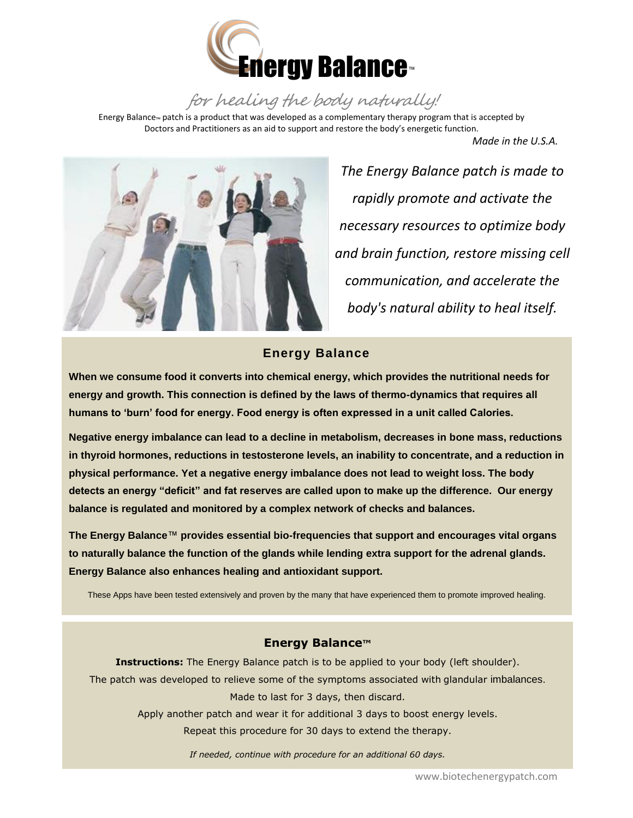

for healing the body naturally!

Energy Balance™ patch is a product that was developed as a complementary therapy program that is accepted by Doctors and Practitioners as an aid to support and restore the body's energetic function.

 *Made in the U.S.A.* 



*The Energy Balance patch is made to rapidly promote and activate the necessary resources to optimize body and brain function, restore missing cell communication, and accelerate the body's natural ability to heal itself.*

## **Energy Balance**

 **energy and growth. This connection is defined by the laws of thermo-dynamics that requires all When we consume food it converts into chemical energy, which provides the nutritional needs for humans to 'burn' food for energy. Food energy is often expressed in a unit called Calories.**

**Negative energy imbalance can lead to a decline in metabolism, decreases in bone mass, reductions in thyroid hormones, reductions in testosterone levels, an inability to concentrate, and a reduction in physical performance. Yet a negative energy imbalance does not lead to weight loss. The body detects an energy "deficit" and fat reserves are called upon to make up the difference. Our energy balance is regulated and monitored by a complex network of checks and balances.** 

**The Energy Balance**™ **provides essential bio-frequencies that support and encourages vital organs to naturally balance the function of the glands while lending extra support for the adrenal glands. Energy Balance also enhances healing and antioxidant support.**

These Apps have been tested extensively and proven by the many that have experienced them to promote improved healing.

## **Energy Balance™**

**Instructions:** The Energy Balance patch is to be applied to your body (left shoulder). The patch was developed to relieve some of the symptoms associated with glandular imbalances. Made to last for 3 days, then discard.

Apply another patch and wear it for additional 3 days to boost energy levels.

Repeat this procedure for 30 days to extend the therapy.

*If needed, continue with procedure for an additional 60 days.*